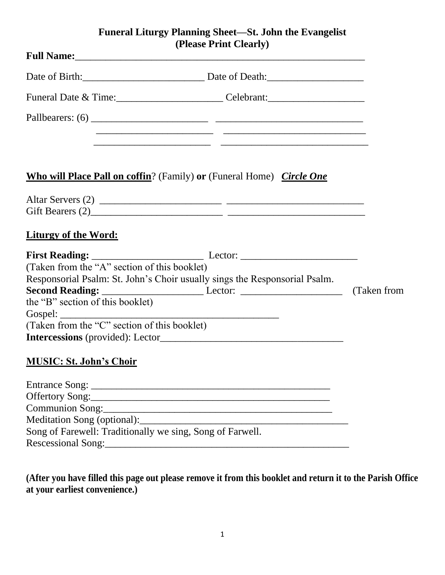#### **Funeral Liturgy Planning Sheet—St. John the Evangelist (Please Print Clearly)**

| Date of Birth: Date of Death:                                                       |                                                                                                                    |             |
|-------------------------------------------------------------------------------------|--------------------------------------------------------------------------------------------------------------------|-------------|
| Funeral Date & Time: Celebrant: Celebrant:                                          |                                                                                                                    |             |
|                                                                                     |                                                                                                                    |             |
|                                                                                     | <u> 1980 - Jan Barbara de Santo de Santo de Santo de Santo de Santo de Santo de Santo de Santo de Santo de San</u> |             |
|                                                                                     |                                                                                                                    |             |
| <b>Who will Place Pall on coffin</b> ? (Family) or (Funeral Home) <i>Circle One</i> |                                                                                                                    |             |
|                                                                                     |                                                                                                                    |             |
|                                                                                     |                                                                                                                    |             |
| <b>Liturgy of the Word:</b>                                                         |                                                                                                                    |             |
|                                                                                     |                                                                                                                    |             |
| (Taken from the "A" section of this booklet)                                        |                                                                                                                    |             |
| Responsorial Psalm: St. John's Choir usually sings the Responsorial Psalm.          |                                                                                                                    |             |
| the "B" section of this booklet)                                                    |                                                                                                                    | (Taken from |
|                                                                                     |                                                                                                                    |             |
| (Taken from the "C" section of this booklet)                                        | <u> 1989 - Johann John Harrison, markan a</u>                                                                      |             |
|                                                                                     |                                                                                                                    |             |
|                                                                                     |                                                                                                                    |             |
| <b>MUSIC: St. John's Choir</b>                                                      |                                                                                                                    |             |
|                                                                                     |                                                                                                                    |             |
|                                                                                     |                                                                                                                    |             |
|                                                                                     |                                                                                                                    |             |
|                                                                                     |                                                                                                                    |             |
| Song of Farewell: Traditionally we sing, Song of Farwell.                           |                                                                                                                    |             |
|                                                                                     |                                                                                                                    |             |

#### **(After you have filled this page out please remove it from this booklet and return it to the Parish Office at your earliest convenience.)**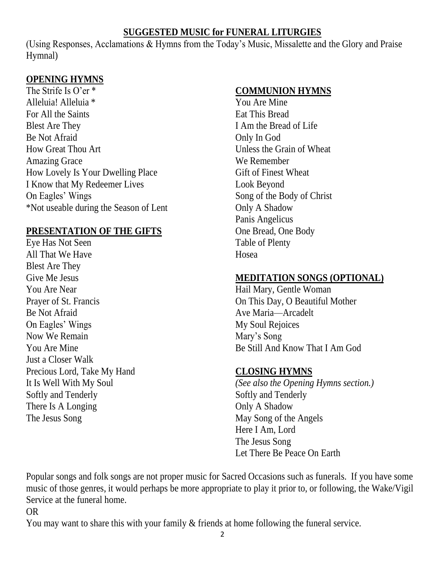#### **SUGGESTED MUSIC for FUNERAL LITURGIES**

(Using Responses, Acclamations & Hymns from the Today's Music, Missalette and the Glory and Praise Hymnal)

#### **OPENING HYMNS**

The Strife Is O'er \* Alleluia! Alleluia \* For All the Saints Blest Are They Be Not Afraid How Great Thou Art Amazing Grace How Lovely Is Your Dwelling Place I Know that My Redeemer Lives On Eagles' Wings \*Not useable during the Season of Lent

#### **PRESENTATION OF THE GIFTS**

Eye Has Not Seen All That We Have Blest Are They Give Me Jesus You Are Near Prayer of St. Francis Be Not Afraid On Eagles' Wings Now We Remain You Are Mine Just a Closer Walk Precious Lord, Take My Hand It Is Well With My Soul Softly and Tenderly There Is A Longing The Jesus Song

#### **COMMUNION HYMNS**

You Are Mine Eat This Bread I Am the Bread of Life Only In God Unless the Grain of Wheat We Remember Gift of Finest Wheat Look Beyond Song of the Body of Christ Only A Shadow Panis Angelicus One Bread, One Body Table of Plenty Hosea

#### **MEDITATION SONGS (OPTIONAL)**

Hail Mary, Gentle Woman On This Day, O Beautiful Mother Ave Maria—Arcadelt My Soul Rejoices Mary's Song Be Still And Know That I Am God

#### **CLOSING HYMNS**

*(See also the Opening Hymns section.)* Softly and Tenderly Only A Shadow May Song of the Angels Here I Am, Lord The Jesus Song Let There Be Peace On Earth

Popular songs and folk songs are not proper music for Sacred Occasions such as funerals. If you have some music of those genres, it would perhaps be more appropriate to play it prior to, or following, the Wake/Vigil Service at the funeral home.

OR

You may want to share this with your family  $&$  friends at home following the funeral service.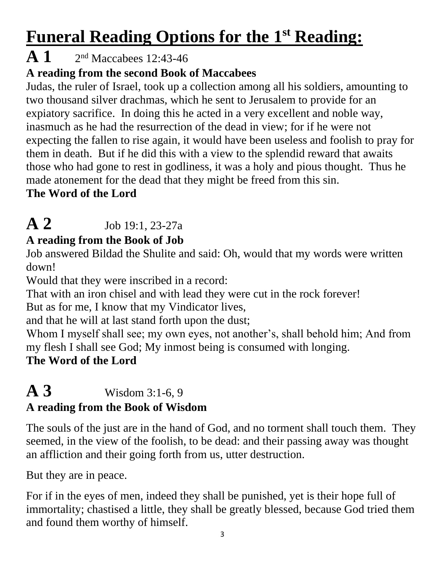# **Funeral Reading Options for the 1st Reading:**

**A 1** <sup>2</sup>  $2<sup>nd</sup> Maccabees$  12:43-46

### **A reading from the second Book of Maccabees**

Judas, the ruler of Israel, took up a collection among all his soldiers, amounting to two thousand silver drachmas, which he sent to Jerusalem to provide for an expiatory sacrifice. In doing this he acted in a very excellent and noble way, inasmuch as he had the resurrection of the dead in view; for if he were not expecting the fallen to rise again, it would have been useless and foolish to pray for them in death. But if he did this with a view to the splendid reward that awaits those who had gone to rest in godliness, it was a holy and pious thought. Thus he made atonement for the dead that they might be freed from this sin. **The Word of the Lord**

# **A 2** Job 19:1, 23-27a

### **A reading from the Book of Job**

Job answered Bildad the Shulite and said: Oh, would that my words were written down!

Would that they were inscribed in a record:

That with an iron chisel and with lead they were cut in the rock forever!

But as for me, I know that my Vindicator lives,

and that he will at last stand forth upon the dust;

Whom I myself shall see; my own eyes, not another's, shall behold him; And from my flesh I shall see God; My inmost being is consumed with longing.

### **The Word of the Lord**

### **A 3** Wisdom 3:1-6, 9 **A reading from the Book of Wisdom**

The souls of the just are in the hand of God, and no torment shall touch them. They seemed, in the view of the foolish, to be dead: and their passing away was thought an affliction and their going forth from us, utter destruction.

But they are in peace.

For if in the eyes of men, indeed they shall be punished, yet is their hope full of immortality; chastised a little, they shall be greatly blessed, because God tried them and found them worthy of himself.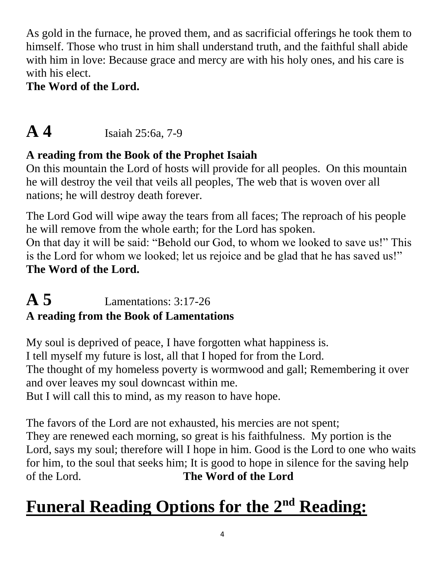As gold in the furnace, he proved them, and as sacrificial offerings he took them to himself. Those who trust in him shall understand truth, and the faithful shall abide with him in love: Because grace and mercy are with his holy ones, and his care is with his elect.

#### **The Word of the Lord.**

### **A 4** Isaiah 25:6a, 7-9

### **A reading from the Book of the Prophet Isaiah**

On this mountain the Lord of hosts will provide for all peoples. On this mountain he will destroy the veil that veils all peoples, The web that is woven over all nations; he will destroy death forever.

The Lord God will wipe away the tears from all faces; The reproach of his people he will remove from the whole earth; for the Lord has spoken. On that day it will be said: "Behold our God, to whom we looked to save us!" This is the Lord for whom we looked; let us rejoice and be glad that he has saved us!" **The Word of the Lord.**

### **A 5** Lamentations: 3:17-26 **A reading from the Book of Lamentations**

My soul is deprived of peace, I have forgotten what happiness is. I tell myself my future is lost, all that I hoped for from the Lord. The thought of my homeless poverty is wormwood and gall; Remembering it over and over leaves my soul downcast within me. But I will call this to mind, as my reason to have hope.

The favors of the Lord are not exhausted, his mercies are not spent; They are renewed each morning, so great is his faithfulness. My portion is the Lord, says my soul; therefore will I hope in him. Good is the Lord to one who waits for him, to the soul that seeks him; It is good to hope in silence for the saving help of the Lord. **The Word of the Lord**

# **Funeral Reading Options for the 2nd Reading:**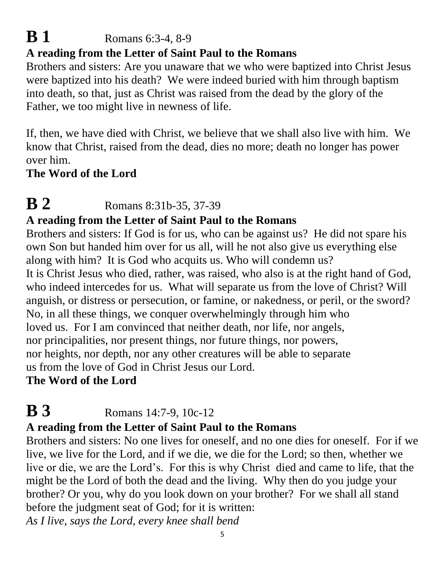### **B 1** Romans 6:3-4, 8-9 **A reading from the Letter of Saint Paul to the Romans**

Brothers and sisters: Are you unaware that we who were baptized into Christ Jesus were baptized into his death? We were indeed buried with him through baptism into death, so that, just as Christ was raised from the dead by the glory of the Father, we too might live in newness of life.

If, then, we have died with Christ, we believe that we shall also live with him. We know that Christ, raised from the dead, dies no more; death no longer has power over him.

#### **The Word of the Lord**

## **B 2** Romans 8:31b-35, 37-39

#### **A reading from the Letter of Saint Paul to the Romans**

Brothers and sisters: If God is for us, who can be against us? He did not spare his own Son but handed him over for us all, will he not also give us everything else along with him? It is God who acquits us. Who will condemn us? It is Christ Jesus who died, rather, was raised, who also is at the right hand of God, who indeed intercedes for us. What will separate us from the love of Christ? Will anguish, or distress or persecution, or famine, or nakedness, or peril, or the sword? No, in all these things, we conquer overwhelmingly through him who loved us. For I am convinced that neither death, nor life, nor angels, nor principalities, nor present things, nor future things, nor powers, nor heights, nor depth, nor any other creatures will be able to separate us from the love of God in Christ Jesus our Lord.

#### **The Word of the Lord**

## **B 3** Romans 14:7-9, 10c-12

#### **A reading from the Letter of Saint Paul to the Romans**

Brothers and sisters: No one lives for oneself, and no one dies for oneself. For if we live, we live for the Lord, and if we die, we die for the Lord; so then, whether we live or die, we are the Lord's. For this is why Christ died and came to life, that the might be the Lord of both the dead and the living. Why then do you judge your brother? Or you, why do you look down on your brother? For we shall all stand before the judgment seat of God; for it is written: *As I live, says the Lord, every knee shall bend*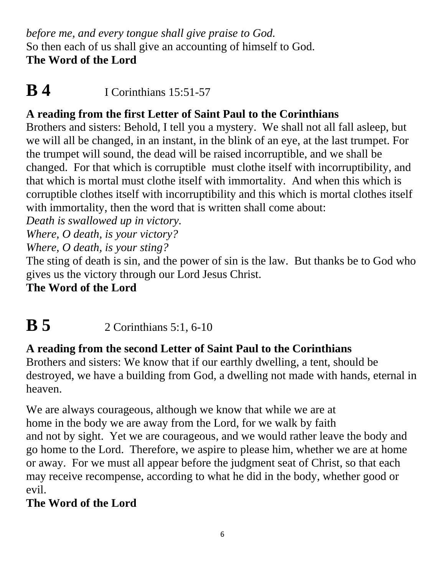*before me, and every tongue shall give praise to God.* So then each of us shall give an accounting of himself to God. **The Word of the Lord**

### **B 4** I Corinthians 15:51-57

#### **A reading from the first Letter of Saint Paul to the Corinthians**

Brothers and sisters: Behold, I tell you a mystery. We shall not all fall asleep, but we will all be changed, in an instant, in the blink of an eye, at the last trumpet. For the trumpet will sound, the dead will be raised incorruptible, and we shall be changed. For that which is corruptible must clothe itself with incorruptibility, and that which is mortal must clothe itself with immortality. And when this which is corruptible clothes itself with incorruptibility and this which is mortal clothes itself with immortality, then the word that is written shall come about:

*Death is swallowed up in victory.*

*Where, O death, is your victory?*

*Where, O death, is your sting?*

The sting of death is sin, and the power of sin is the law. But thanks be to God who gives us the victory through our Lord Jesus Christ.

**The Word of the Lord**

### **B 5** 2 Corinthians 5:1, 6-10

#### **A reading from the second Letter of Saint Paul to the Corinthians**

Brothers and sisters: We know that if our earthly dwelling, a tent, should be destroyed, we have a building from God, a dwelling not made with hands, eternal in heaven.

We are always courageous, although we know that while we are at home in the body we are away from the Lord, for we walk by faith and not by sight. Yet we are courageous, and we would rather leave the body and go home to the Lord. Therefore, we aspire to please him, whether we are at home or away. For we must all appear before the judgment seat of Christ, so that each may receive recompense, according to what he did in the body, whether good or evil.

#### **The Word of the Lord**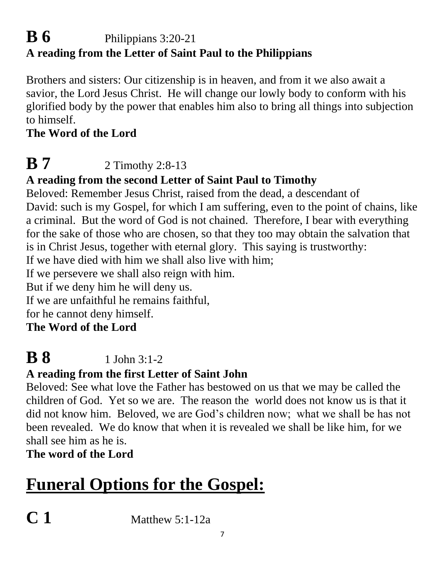### **B 6** Philippians 3:20-21 **A reading from the Letter of Saint Paul to the Philippians**

Brothers and sisters: Our citizenship is in heaven, and from it we also await a savior, the Lord Jesus Christ. He will change our lowly body to conform with his glorified body by the power that enables him also to bring all things into subjection to himself.

#### **The Word of the Lord**

## **B 7** 2 Timothy 2:8-13

### **A reading from the second Letter of Saint Paul to Timothy**

Beloved: Remember Jesus Christ, raised from the dead, a descendant of David: such is my Gospel, for which I am suffering, even to the point of chains, like a criminal. But the word of God is not chained. Therefore, I bear with everything for the sake of those who are chosen, so that they too may obtain the salvation that is in Christ Jesus, together with eternal glory. This saying is trustworthy: If we have died with him we shall also live with him; If we persevere we shall also reign with him. But if we deny him he will deny us. If we are unfaithful he remains faithful, for he cannot deny himself.

### **The Word of the Lord**

## **B**  $\bf{8}$  1 John 3:1-2

### **A reading from the first Letter of Saint John**

Beloved: See what love the Father has bestowed on us that we may be called the children of God. Yet so we are. The reason the world does not know us is that it did not know him. Beloved, we are God's children now; what we shall be has not been revealed. We do know that when it is revealed we shall be like him, for we shall see him as he is.

**The word of the Lord**

# **Funeral Options for the Gospel:**

## **C 1** Matthew 5:1-12a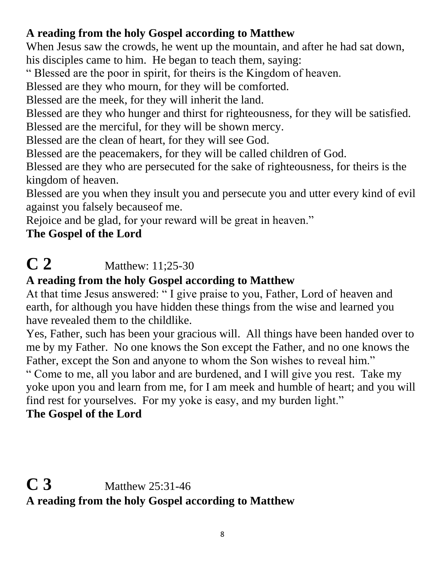#### **A reading from the holy Gospel according to Matthew**

When Jesus saw the crowds, he went up the mountain, and after he had sat down, his disciples came to him. He began to teach them, saying:

" Blessed are the poor in spirit, for theirs is the Kingdom of heaven.

Blessed are they who mourn, for they will be comforted.

Blessed are the meek, for they will inherit the land.

Blessed are they who hunger and thirst for righteousness, for they will be satisfied. Blessed are the merciful, for they will be shown mercy.

Blessed are the clean of heart, for they will see God.

Blessed are the peacemakers, for they will be called children of God.

Blessed are they who are persecuted for the sake of righteousness, for theirs is the kingdom of heaven.

Blessed are you when they insult you and persecute you and utter every kind of evil against you falsely becauseof me.

Rejoice and be glad, for your reward will be great in heaven."

#### **The Gospel of the Lord**

## **C 2** Matthew: 11;25-30

#### **A reading from the holy Gospel according to Matthew**

At that time Jesus answered: " I give praise to you, Father, Lord of heaven and earth, for although you have hidden these things from the wise and learned you have revealed them to the childlike.

Yes, Father, such has been your gracious will. All things have been handed over to me by my Father. No one knows the Son except the Father, and no one knows the Father, except the Son and anyone to whom the Son wishes to reveal him."

" Come to me, all you labor and are burdened, and I will give you rest. Take my yoke upon you and learn from me, for I am meek and humble of heart; and you will find rest for yourselves. For my yoke is easy, and my burden light."

#### **The Gospel of the Lord**

### **C 3** Matthew 25:31-46 **A reading from the holy Gospel according to Matthew**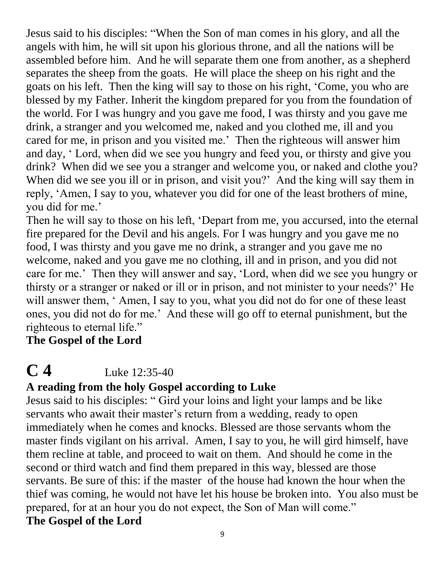Jesus said to his disciples: "When the Son of man comes in his glory, and all the angels with him, he will sit upon his glorious throne, and all the nations will be assembled before him. And he will separate them one from another, as a shepherd separates the sheep from the goats. He will place the sheep on his right and the goats on his left. Then the king will say to those on his right, 'Come, you who are blessed by my Father. Inherit the kingdom prepared for you from the foundation of the world. For I was hungry and you gave me food, I was thirsty and you gave me drink, a stranger and you welcomed me, naked and you clothed me, ill and you cared for me, in prison and you visited me.' Then the righteous will answer him and day, ' Lord, when did we see you hungry and feed you, or thirsty and give you drink? When did we see you a stranger and welcome you, or naked and clothe you? When did we see you ill or in prison, and visit you?' And the king will say them in reply, 'Amen, I say to you, whatever you did for one of the least brothers of mine, you did for me.'

Then he will say to those on his left, 'Depart from me, you accursed, into the eternal fire prepared for the Devil and his angels. For I was hungry and you gave me no food, I was thirsty and you gave me no drink, a stranger and you gave me no welcome, naked and you gave me no clothing, ill and in prison, and you did not care for me.' Then they will answer and say, 'Lord, when did we see you hungry or thirsty or a stranger or naked or ill or in prison, and not minister to your needs?' He will answer them, 'Amen, I say to you, what you did not do for one of these least ones, you did not do for me.' And these will go off to eternal punishment, but the righteous to eternal life."

**The Gospel of the Lord**

### $C_4$  Luke 12:35-40

#### **A reading from the holy Gospel according to Luke**

Jesus said to his disciples: " Gird your loins and light your lamps and be like servants who await their master's return from a wedding, ready to open immediately when he comes and knocks. Blessed are those servants whom the master finds vigilant on his arrival. Amen, I say to you, he will gird himself, have them recline at table, and proceed to wait on them. And should he come in the second or third watch and find them prepared in this way, blessed are those servants. Be sure of this: if the master of the house had known the hour when the thief was coming, he would not have let his house be broken into. You also must be prepared, for at an hour you do not expect, the Son of Man will come." **The Gospel of the Lord**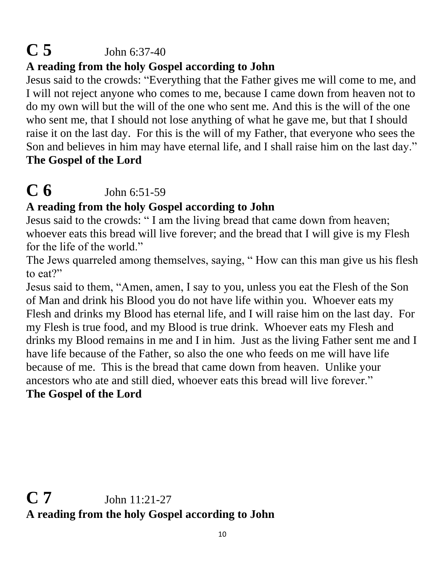# $\bf{C}$  **5** John 6:37-40

### **A reading from the holy Gospel according to John**

Jesus said to the crowds: "Everything that the Father gives me will come to me, and I will not reject anyone who comes to me, because I came down from heaven not to do my own will but the will of the one who sent me. And this is the will of the one who sent me, that I should not lose anything of what he gave me, but that I should raise it on the last day. For this is the will of my Father, that everyone who sees the Son and believes in him may have eternal life, and I shall raise him on the last day." **The Gospel of the Lord**

## $C_6$  John 6:51-59

### **A reading from the holy Gospel according to John**

Jesus said to the crowds: " I am the living bread that came down from heaven; whoever eats this bread will live forever; and the bread that I will give is my Flesh for the life of the world."

The Jews quarreled among themselves, saying, " How can this man give us his flesh to eat?"

Jesus said to them, "Amen, amen, I say to you, unless you eat the Flesh of the Son of Man and drink his Blood you do not have life within you. Whoever eats my Flesh and drinks my Blood has eternal life, and I will raise him on the last day. For my Flesh is true food, and my Blood is true drink. Whoever eats my Flesh and drinks my Blood remains in me and I in him. Just as the living Father sent me and I have life because of the Father, so also the one who feeds on me will have life because of me. This is the bread that came down from heaven. Unlike your ancestors who ate and still died, whoever eats this bread will live forever." **The Gospel of the Lord**

### $C$  **7** John 11:21-27 **A reading from the holy Gospel according to John**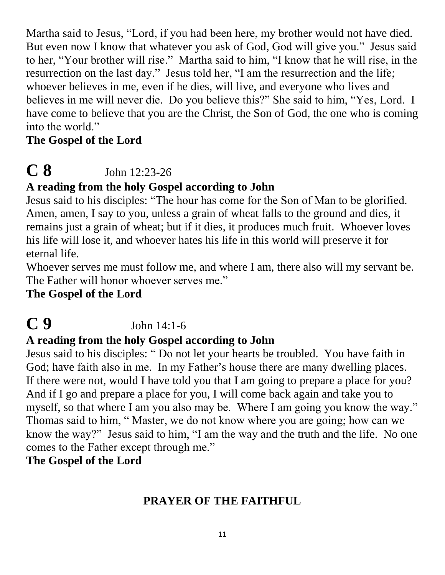Martha said to Jesus, "Lord, if you had been here, my brother would not have died. But even now I know that whatever you ask of God, God will give you." Jesus said to her, "Your brother will rise." Martha said to him, "I know that he will rise, in the resurrection on the last day." Jesus told her, "I am the resurrection and the life; whoever believes in me, even if he dies, will live, and everyone who lives and believes in me will never die. Do you believe this?" She said to him, "Yes, Lord. I have come to believe that you are the Christ, the Son of God, the one who is coming into the world."

#### **The Gospel of the Lord**

## **C 8** John 12:23-26

#### **A reading from the holy Gospel according to John**

Jesus said to his disciples: "The hour has come for the Son of Man to be glorified. Amen, amen, I say to you, unless a grain of wheat falls to the ground and dies, it remains just a grain of wheat; but if it dies, it produces much fruit. Whoever loves his life will lose it, and whoever hates his life in this world will preserve it for eternal life.

Whoever serves me must follow me, and where I am, there also will my servant be. The Father will honor whoever serves me."

**The Gospel of the Lord**

# **C 9** John 14:1-6

#### **A reading from the holy Gospel according to John**

Jesus said to his disciples: " Do not let your hearts be troubled. You have faith in God; have faith also in me. In my Father's house there are many dwelling places. If there were not, would I have told you that I am going to prepare a place for you? And if I go and prepare a place for you, I will come back again and take you to myself, so that where I am you also may be. Where I am going you know the way." Thomas said to him, " Master, we do not know where you are going; how can we know the way?" Jesus said to him, "I am the way and the truth and the life. No one comes to the Father except through me."

**The Gospel of the Lord**

#### **PRAYER OF THE FAITHFUL**